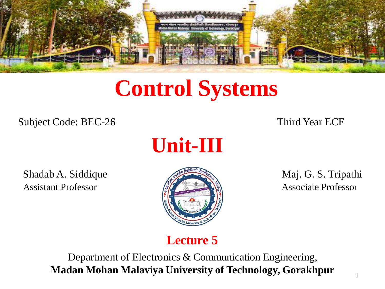

# **Control Systems**

Subject Code: BEC-26 Third Year ECE



Shadab A. Siddique Maj. G. S. Tripathi Assistant Professor **Associate Professor** Associate Professor



#### **Lecture 5**

Department of Electronics & Communication Engineering, **Madan Mohan Malaviya University of Technology, Gorakhpur**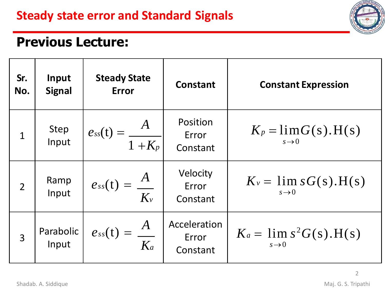

#### **Previous Lecture:**

| Sr.<br>No.     | Input<br><b>Signal</b> | <b>Steady State</b><br><b>Error</b> | <b>Constant</b>                   | <b>Constant Expression</b>                       |
|----------------|------------------------|-------------------------------------|-----------------------------------|--------------------------------------------------|
| $\mathbf{1}$   | Step<br>Input          | $e_{ss}(t) = \frac{A}{1 + K_p}$     | Position<br>Error<br>Constant     | $K_p = \lim G(s)$ . H(s)<br>$s\rightarrow 0$     |
| $\overline{2}$ | Ramp<br>Input          | $e_{ss}(t) = \frac{A}{K_v}$         | Velocity<br>Error<br>Constant     | $K_v = \lim sG(s)$ . H(s)<br>$s\rightarrow 0$    |
| 3              | Parabolic<br>Input     | $e_{ss}(t) = \frac{A}{K_a}$         | Acceleration<br>Error<br>Constant | $K_a = \lim s^2 G(s)$ . H(s)<br>$s\rightarrow 0$ |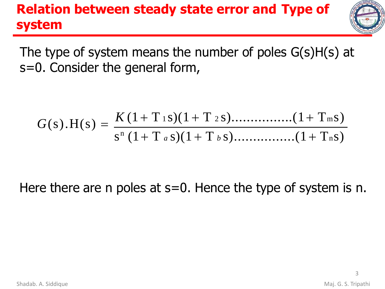### **Relation between steady state error and Type of system**



The type of system means the number of poles G(s)H(s) at s=0. Consider the general form,

$$
G(s).H(s) = \frac{K (1+T \t{1} s)(1+T \t{2} s) \dots (1+T \t{1} s)}{s^{n} (1+T a s)(1+T b s) \dots (1+T n s)}
$$

#### Here there are n poles at  $s=0$ . Hence the type of system is n.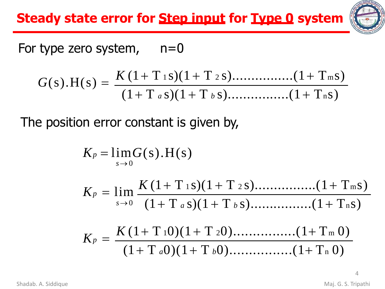**Steady state error for Step input for Type 0 system**



#### For type zero system,  $n=0$

$$
G(s).H(s) = \frac{K (1+T_{1} s)(1+T_{2} s) \dots (1+T_{m} s)}{(1+T_{a} s)(1+T_{b} s) \dots (1+T_{n} s)}
$$

The position error constant is given by,

$$
K_p = \lim_{s\to 0} G(s).H(s)
$$

$$
K_p = \lim_{s \to 0} \frac{K (1 + T_{1S})(1 + T_{2S}) \dots (1 + T_{ms})}{(1 + T_{aS})(1 + T_{bS}) \dots (1 + T_{ns})}
$$

$$
K_p = \frac{K (1 + T_1 0)(1 + T_2 0) \dots (1 + T_m 0)}{(1 + T_a 0)(1 + T_b 0) \dots (1 + T_n 0)}
$$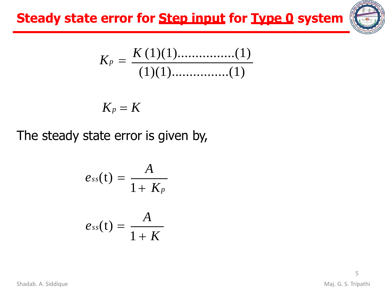**Steady state error for Step input for Type 0 system**



$$
K_p = \frac{K(1)(1) \dots (1)}{(1)(1) \dots (1)}
$$

$$
K_p=K
$$

The steady state error is given by,

$$
e_{ss}(t) = \frac{A}{1 + K_p}
$$

$$
e_{ss}(t) = \frac{A}{1 + K}
$$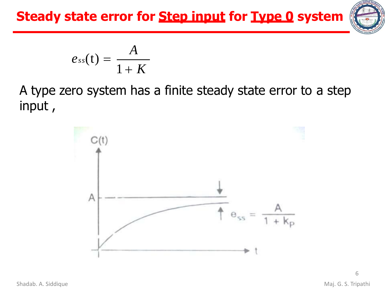**Steady state error for Step input for Type 0 system**



$$
e_{ss}(t)=\frac{A}{1+K}
$$

A type zero system has a finite steady state error to a step input ,

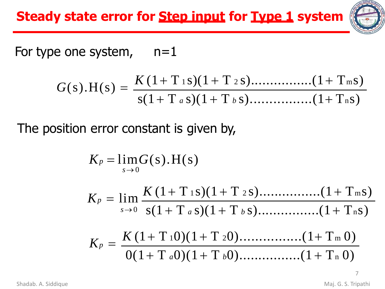

#### For type one system,  $n=1$

$$
G(s).H(s) = \frac{K (1+T_{1} s)(1+T_{2} s) \dots (1+T_{m} s)}{s (1+T_{a} s)(1+T_{b} s) \dots (1+T_{n} s)}
$$

The position error constant is given by,

$$
K_p = \lim_{s \to 0} G(s).H(s)
$$
  
\n
$$
K_p = \lim_{s \to 0} \frac{K (1 + T_{1} s)(1 + T_{2} s) \dots (1 + T_{m} s)}{s(1 + T_{a} s)(1 + T_{b} s) \dots (1 + T_{n} s)}
$$
  
\n
$$
K_p = \frac{K (1 + T_{1} 0)(1 + T_{2} 0) \dots (1 + T_{m} 0)}{0(1 + T_{a} 0)(1 + T_{b} 0) \dots (1 + T_{n} 0)}
$$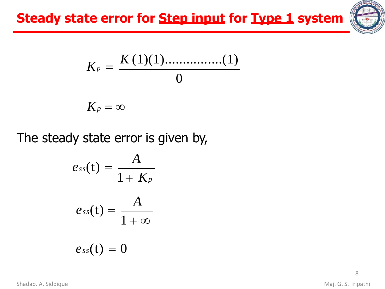

$$
K_p = \frac{K(1)(1) \dots (1)}{0}
$$

$$
K_p=\infty
$$

The steady state error is given by,

$$
e_{ss}(t) = \frac{A}{1 + K_p}
$$

$$
e_{ss}(t) = \frac{A}{1 + \infty}
$$

$$
e_{ss}(t) = 0
$$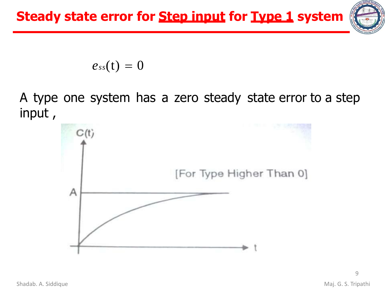

 $e_{ss}(t) = 0$ 

A type one system has a zero steady state error to a step input ,

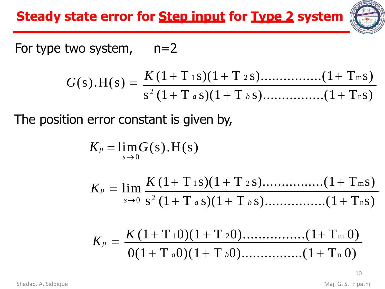**Steady state error for Step input for Type 2 system**



For type two system,  $n=2$ 

$$
G(s).H(s) = \frac{K(1+T_{1} s)(1+T_{2} s) \dots (1+T_{m} s)}{s^{2} (1+T_{a} s)(1+T_{b} s) \dots (1+T_{n} s)}
$$

The position error constant is given by,

$$
K_p = \lim_{s \to 0} G(s).H(s)
$$

$$
K_p = \lim_{s \to 0} \frac{K (1 + T_{1S})(1 + T_{2S}) \dots (1 + T_{mS})}{s^2 (1 + T_a s)(1 + T_b s) \dots (1 + T_{nS})}
$$

$$
K_p = \frac{K (1 + T_1 0)(1 + T_2 0) \dots (1 + T_m 0)}{0(1 + T_a 0)(1 + T_b 0) \dots (1 + T_n 0)}
$$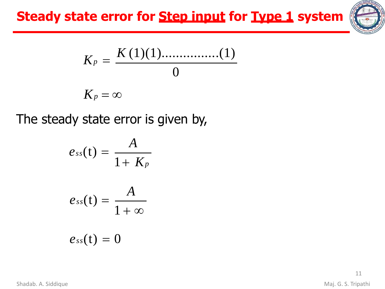## **Steady state error for Step input for Type 1 system**



$$
K_p = \frac{K(1)(1) \dots (1)}{0}
$$

$$
K_p=\infty
$$

The steady state error is given by,

$$
e_{ss}(t)=\frac{A}{1+K_p}
$$

$$
e_{ss}(t)=\frac{A}{1+\infty}
$$

$$
e_{ss}(t)=0
$$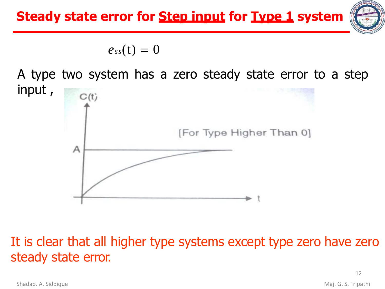

$$
e_{ss}(t)=0
$$

A type two system has a zero steady state error to a step input ,



#### It is clear that all higher type systems except type zero have zero steady state error.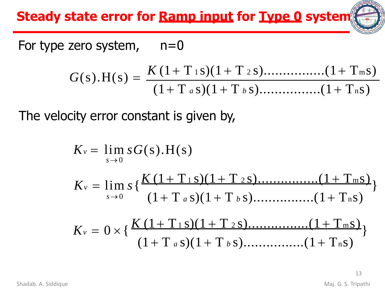**Steady state error for Ramp input for Type 0 system**

For type zero system,  $n=0$ 

$$
G(s).H(s) = \frac{K (1+T \t{1} s)(1+T \t{2} s) \dots (1+T \t{1} s)}{(1+T \t{a} s)(1+T \t{b} s) \dots (1+T \t{1} s)}
$$

The velocity error constant is given by,

$$
K_v = \lim_{s \to 0} sG(s).H(s)
$$
  
\n
$$
K_v = \lim_{s \to 0} s \{ \frac{K(1+T_{1} s)(1+T_{2} s) \dots (1+T_{m} s)}{(1+T_{a} s)(1+T_{b} s) \dots (1+T_{n} s)} \}
$$
  
\n
$$
K_v = 0 \times \{ \frac{K(1+T_{1} s)(1+T_{2} s) \dots (1+T_{m} s)}{(1+T_{a} s)(1+T_{b} s) \dots (1+T_{n} s)} \}
$$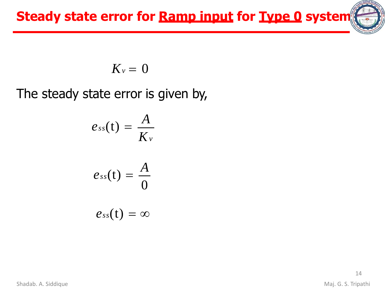**Steady state error for Ramp input for Type 0 system**

$$
K_v=0
$$

The steady state error is given by,

$$
e_{ss}(t) = \frac{A}{K_v}
$$

$$
e_{ss}(t) = \frac{A}{0}
$$

$$
e_{ss}(t) = \infty
$$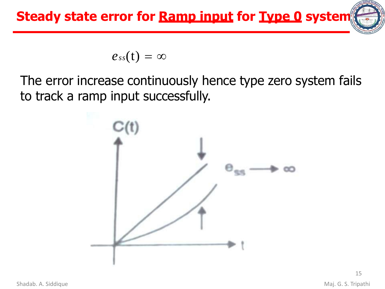

$$
e_{ss}(t)=\infty
$$

The error increase continuously hence type zero system fails to track a ramp input successfully.

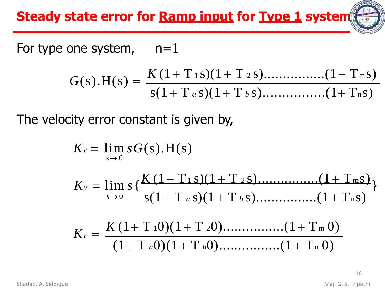**Steady state error for Ramp input for Type 1 system**

For type one system,  $n=1$ 

$$
G(s).H(s) = \frac{K(1+T_{1} s)(1+T_{2} s) \dots (1+T_{m} s)}{s(1+T_{a} s)(1+T_{b} s) \dots (1+T_{n} s)}
$$

The velocity error constant is given by,

$$
K_v = \lim_{s \to 0} sG(s).H(s)
$$
  
\n
$$
K_v = \lim_{s \to 0} s \left\{ \frac{K(1+T_{1} s)(1+T_{2} s) \dots (1+T_{m} s)}{s(1+T_{a} s)(1+T_{b} s) \dots (1+T_{n} s)} \right\}
$$
  
\n
$$
K_v = \frac{K(1+T_1 0)(1+T_2 0) \dots (1+T_m 0)}{(1+T_a 0)(1+T_b 0) \dots (1+T_n 0)}
$$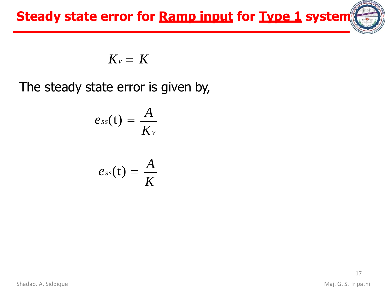

$$
K_v = K
$$

The steady state error is given by,

$$
e_{ss}(t)=\frac{A}{K_v}
$$

$$
e_{ss}(t)=\frac{A}{K}
$$